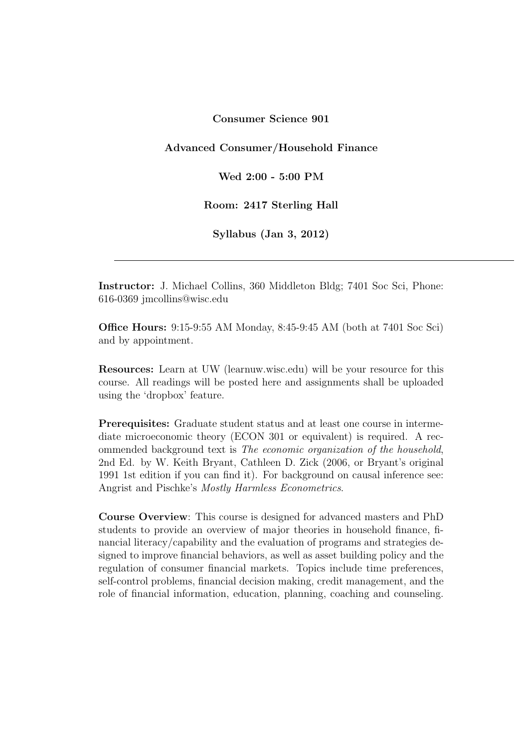Consumer Science 901

Advanced Consumer/Household Finance

Wed 2:00 - 5:00 PM

Room: 2417 Sterling Hall

Syllabus (Jan 3, 2012)

Instructor: J. Michael Collins, 360 Middleton Bldg; 7401 Soc Sci, Phone: 616-0369 jmcollins@wisc.edu

Office Hours: 9:15-9:55 AM Monday, 8:45-9:45 AM (both at 7401 Soc Sci) and by appointment.

Resources: Learn at UW (learnuw.wisc.edu) will be your resource for this course. All readings will be posted here and assignments shall be uploaded using the 'dropbox' feature.

Prerequisites: Graduate student status and at least one course in intermediate microeconomic theory (ECON 301 or equivalent) is required. A recommended background text is The economic organization of the household, 2nd Ed. by W. Keith Bryant, Cathleen D. Zick (2006, or Bryant's original 1991 1st edition if you can find it). For background on causal inference see: Angrist and Pischke's Mostly Harmless Econometrics.

Course Overview: This course is designed for advanced masters and PhD students to provide an overview of major theories in household finance, financial literacy/capability and the evaluation of programs and strategies designed to improve financial behaviors, as well as asset building policy and the regulation of consumer financial markets. Topics include time preferences, self-control problems, financial decision making, credit management, and the role of financial information, education, planning, coaching and counseling.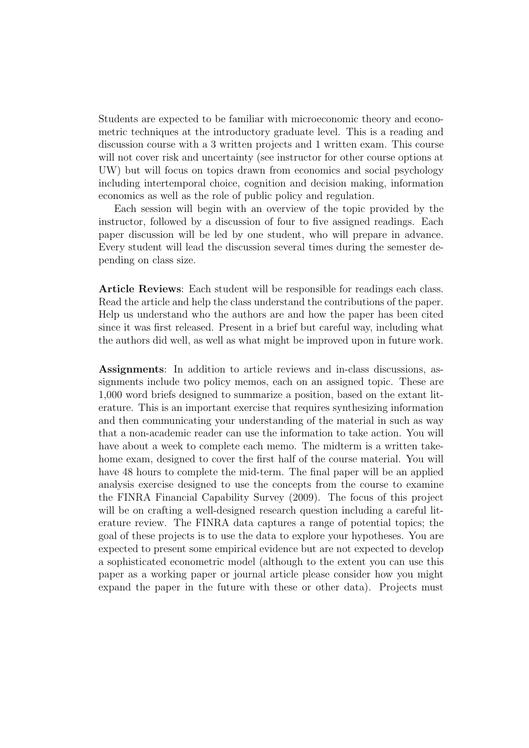Students are expected to be familiar with microeconomic theory and econometric techniques at the introductory graduate level. This is a reading and discussion course with a 3 written projects and 1 written exam. This course will not cover risk and uncertainty (see instructor for other course options at UW) but will focus on topics drawn from economics and social psychology including intertemporal choice, cognition and decision making, information economics as well as the role of public policy and regulation.

Each session will begin with an overview of the topic provided by the instructor, followed by a discussion of four to five assigned readings. Each paper discussion will be led by one student, who will prepare in advance. Every student will lead the discussion several times during the semester depending on class size.

Article Reviews: Each student will be responsible for readings each class. Read the article and help the class understand the contributions of the paper. Help us understand who the authors are and how the paper has been cited since it was first released. Present in a brief but careful way, including what the authors did well, as well as what might be improved upon in future work.

Assignments: In addition to article reviews and in-class discussions, assignments include two policy memos, each on an assigned topic. These are 1,000 word briefs designed to summarize a position, based on the extant literature. This is an important exercise that requires synthesizing information and then communicating your understanding of the material in such as way that a non-academic reader can use the information to take action. You will have about a week to complete each memo. The midterm is a written takehome exam, designed to cover the first half of the course material. You will have 48 hours to complete the mid-term. The final paper will be an applied analysis exercise designed to use the concepts from the course to examine the FINRA Financial Capability Survey (2009). The focus of this project will be on crafting a well-designed research question including a careful literature review. The FINRA data captures a range of potential topics; the goal of these projects is to use the data to explore your hypotheses. You are expected to present some empirical evidence but are not expected to develop a sophisticated econometric model (although to the extent you can use this paper as a working paper or journal article please consider how you might expand the paper in the future with these or other data). Projects must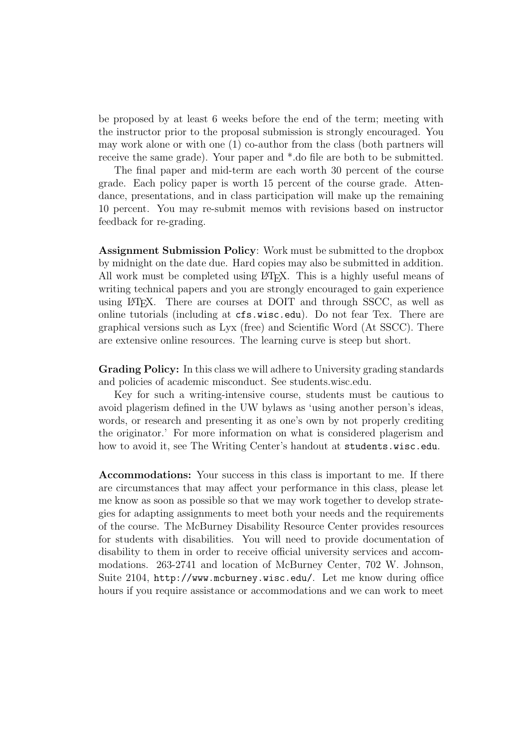be proposed by at least 6 weeks before the end of the term; meeting with the instructor prior to the proposal submission is strongly encouraged. You may work alone or with one (1) co-author from the class (both partners will receive the same grade). Your paper and \*.do file are both to be submitted.

The final paper and mid-term are each worth 30 percent of the course grade. Each policy paper is worth 15 percent of the course grade. Attendance, presentations, and in class participation will make up the remaining 10 percent. You may re-submit memos with revisions based on instructor feedback for re-grading.

Assignment Submission Policy: Work must be submitted to the dropbox by midnight on the date due. Hard copies may also be submitted in addition. All work must be completed using LAT<sub>EX</sub>. This is a highly useful means of writing technical papers and you are strongly encouraged to gain experience using LATEX. There are courses at DOIT and through SSCC, as well as online tutorials (including at cfs.wisc.edu). Do not fear Tex. There are graphical versions such as Lyx (free) and Scientific Word (At SSCC). There are extensive online resources. The learning curve is steep but short.

Grading Policy: In this class we will adhere to University grading standards and policies of academic misconduct. See students.wisc.edu.

Key for such a writing-intensive course, students must be cautious to avoid plagerism defined in the UW bylaws as 'using another person's ideas, words, or research and presenting it as one's own by not properly crediting the originator.' For more information on what is considered plagerism and how to avoid it, see The Writing Center's handout at students.wisc.edu.

Accommodations: Your success in this class is important to me. If there are circumstances that may affect your performance in this class, please let me know as soon as possible so that we may work together to develop strategies for adapting assignments to meet both your needs and the requirements of the course. The McBurney Disability Resource Center provides resources for students with disabilities. You will need to provide documentation of disability to them in order to receive official university services and accommodations. 263-2741 and location of McBurney Center, 702 W. Johnson, Suite 2104, http://www.mcburney.wisc.edu/. Let me know during office hours if you require assistance or accommodations and we can work to meet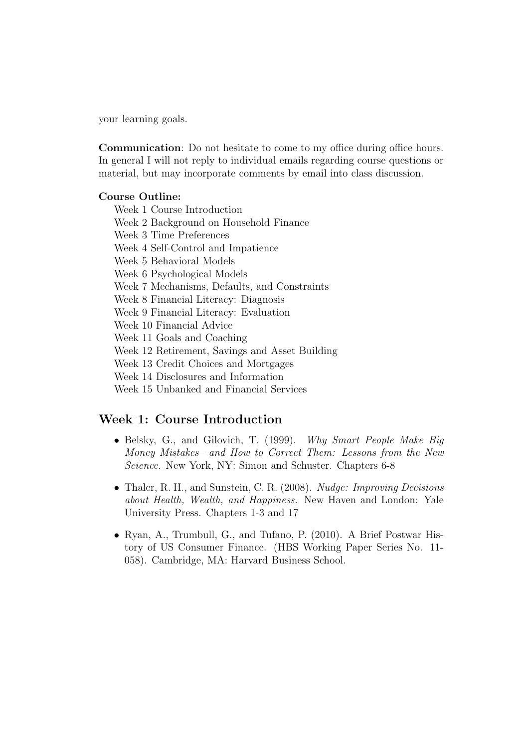your learning goals.

Communication: Do not hesitate to come to my office during office hours. In general I will not reply to individual emails regarding course questions or material, but may incorporate comments by email into class discussion.

#### Course Outline:

Week 1 Course Introduction Week 2 Background on Household Finance Week 3 Time Preferences Week 4 Self-Control and Impatience Week 5 Behavioral Models Week 6 Psychological Models Week 7 Mechanisms, Defaults, and Constraints Week 8 Financial Literacy: Diagnosis Week 9 Financial Literacy: Evaluation Week 10 Financial Advice Week 11 Goals and Coaching Week 12 Retirement, Savings and Asset Building Week 13 Credit Choices and Mortgages Week 14 Disclosures and Information Week 15 Unbanked and Financial Services

#### Week 1: Course Introduction

- Belsky, G., and Gilovich, T. (1999). Why Smart People Make Big Money Mistakes– and How to Correct Them: Lessons from the New Science. New York, NY: Simon and Schuster. Chapters 6-8
- Thaler, R. H., and Sunstein, C. R. (2008). Nudge: Improving Decisions about Health, Wealth, and Happiness. New Haven and London: Yale University Press. Chapters 1-3 and 17
- Ryan, A., Trumbull, G., and Tufano, P. (2010). A Brief Postwar History of US Consumer Finance. (HBS Working Paper Series No. 11- 058). Cambridge, MA: Harvard Business School.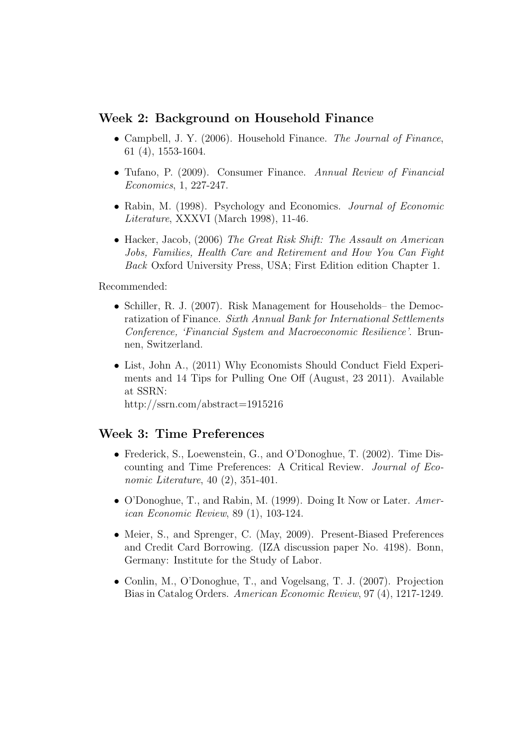### Week 2: Background on Household Finance

- Campbell, J. Y. (2006). Household Finance. The Journal of Finance, 61 (4), 1553-1604.
- Tufano, P. (2009). Consumer Finance. Annual Review of Financial Economics, 1, 227-247.
- Rabin, M. (1998). Psychology and Economics. *Journal of Economic* Literature, XXXVI (March 1998), 11-46.
- Hacker, Jacob, (2006) The Great Risk Shift: The Assault on American Jobs, Families, Health Care and Retirement and How You Can Fight Back Oxford University Press, USA; First Edition edition Chapter 1.

Recommended:

- Schiller, R. J. (2007). Risk Management for Households– the Democratization of Finance. Sixth Annual Bank for International Settlements Conference, 'Financial System and Macroeconomic Resilience'. Brunnen, Switzerland.
- List, John A., (2011) Why Economists Should Conduct Field Experiments and 14 Tips for Pulling One Off (August, 23 2011). Available at SSRN:

http://ssrn.com/abstract=1915216

#### Week 3: Time Preferences

- Frederick, S., Loewenstein, G., and O'Donoghue, T. (2002). Time Discounting and Time Preferences: A Critical Review. Journal of Economic Literature, 40 (2), 351-401.
- O'Donoghue, T., and Rabin, M. (1999). Doing It Now or Later. American Economic Review, 89 (1), 103-124.
- Meier, S., and Sprenger, C. (May, 2009). Present-Biased Preferences and Credit Card Borrowing. (IZA discussion paper No. 4198). Bonn, Germany: Institute for the Study of Labor.
- Conlin, M., O'Donoghue, T., and Vogelsang, T. J. (2007). Projection Bias in Catalog Orders. American Economic Review, 97 (4), 1217-1249.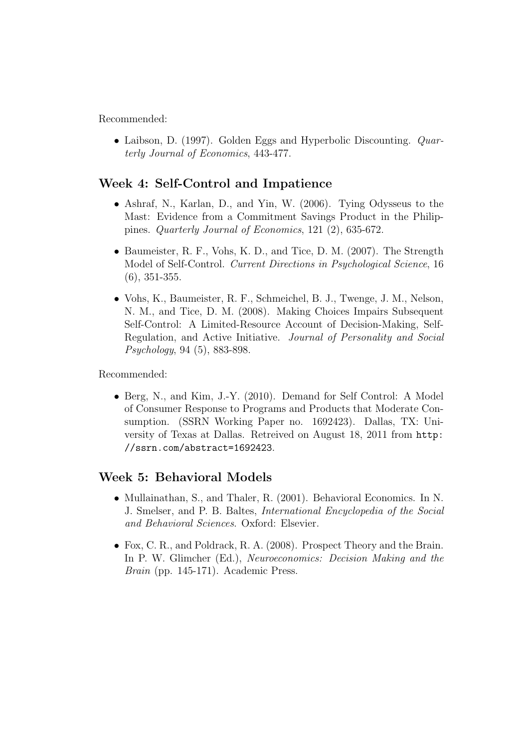• Laibson, D. (1997). Golden Eggs and Hyperbolic Discounting. *Quar*terly Journal of Economics, 443-477.

# Week 4: Self-Control and Impatience

- Ashraf, N., Karlan, D., and Yin, W. (2006). Tying Odysseus to the Mast: Evidence from a Commitment Savings Product in the Philippines. Quarterly Journal of Economics, 121 (2), 635-672.
- Baumeister, R. F., Vohs, K. D., and Tice, D. M. (2007). The Strength Model of Self-Control. Current Directions in Psychological Science, 16 (6), 351-355.
- Vohs, K., Baumeister, R. F., Schmeichel, B. J., Twenge, J. M., Nelson, N. M., and Tice, D. M. (2008). Making Choices Impairs Subsequent Self-Control: A Limited-Resource Account of Decision-Making, Self-Regulation, and Active Initiative. Journal of Personality and Social Psychology, 94 (5), 883-898.

Recommended:

• Berg, N., and Kim, J.-Y. (2010). Demand for Self Control: A Model of Consumer Response to Programs and Products that Moderate Consumption. (SSRN Working Paper no. 1692423). Dallas, TX: University of Texas at Dallas. Retreived on August 18, 2011 from http: //ssrn.com/abstract=1692423.

# Week 5: Behavioral Models

- Mullainathan, S., and Thaler, R. (2001). Behavioral Economics. In N. J. Smelser, and P. B. Baltes, International Encyclopedia of the Social and Behavioral Sciences. Oxford: Elsevier.
- Fox, C. R., and Poldrack, R. A. (2008). Prospect Theory and the Brain. In P. W. Glimcher (Ed.), Neuroeconomics: Decision Making and the Brain (pp. 145-171). Academic Press.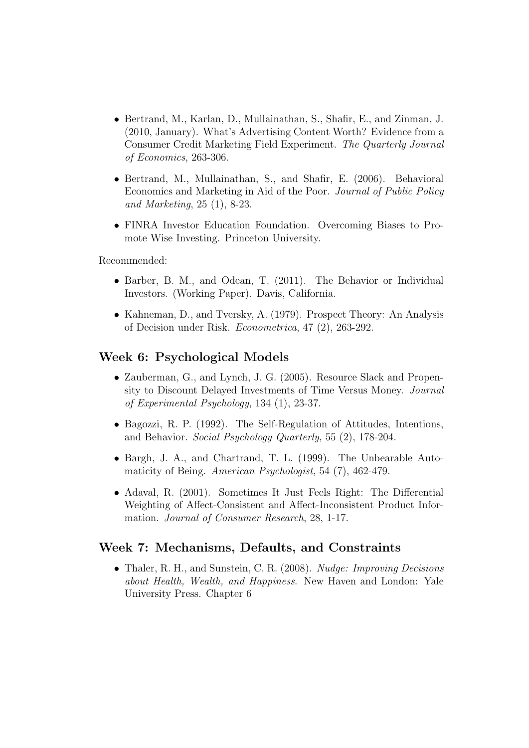- Bertrand, M., Karlan, D., Mullainathan, S., Shafir, E., and Zinman, J. (2010, January). What's Advertising Content Worth? Evidence from a Consumer Credit Marketing Field Experiment. The Quarterly Journal of Economics, 263-306.
- Bertrand, M., Mullainathan, S., and Shafir, E. (2006). Behavioral Economics and Marketing in Aid of the Poor. Journal of Public Policy and Marketing, 25 (1), 8-23.
- FINRA Investor Education Foundation. Overcoming Biases to Promote Wise Investing. Princeton University.

- Barber, B. M., and Odean, T. (2011). The Behavior or Individual Investors. (Working Paper). Davis, California.
- Kahneman, D., and Tversky, A. (1979). Prospect Theory: An Analysis of Decision under Risk. Econometrica, 47 (2), 263-292.

### Week 6: Psychological Models

- Zauberman, G., and Lynch, J. G. (2005). Resource Slack and Propensity to Discount Delayed Investments of Time Versus Money. Journal of Experimental Psychology, 134 (1), 23-37.
- Bagozzi, R. P. (1992). The Self-Regulation of Attitudes, Intentions, and Behavior. Social Psychology Quarterly, 55 (2), 178-204.
- Bargh, J. A., and Chartrand, T. L. (1999). The Unbearable Automaticity of Being. American Psychologist, 54 (7), 462-479.
- Adaval, R. (2001). Sometimes It Just Feels Right: The Differential Weighting of Affect-Consistent and Affect-Inconsistent Product Information. Journal of Consumer Research, 28, 1-17.

### Week 7: Mechanisms, Defaults, and Constraints

• Thaler, R. H., and Sunstein, C. R. (2008). Nudge: Improving Decisions about Health, Wealth, and Happiness. New Haven and London: Yale University Press. Chapter 6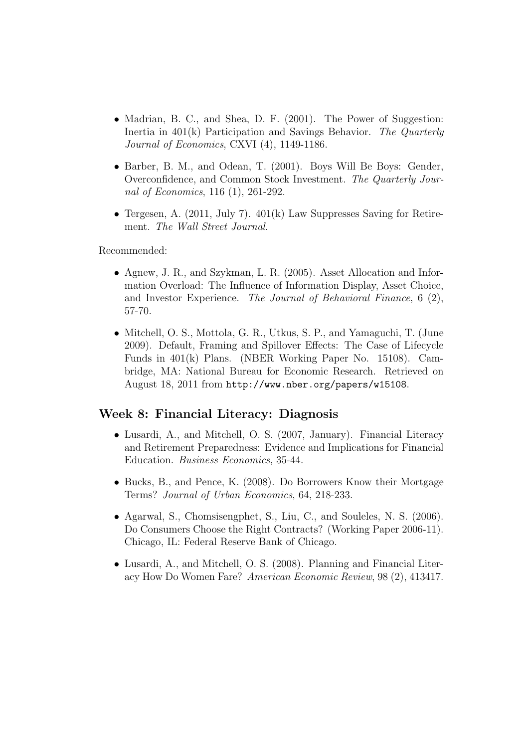- Madrian, B. C., and Shea, D. F. (2001). The Power of Suggestion: Inertia in 401(k) Participation and Savings Behavior. The Quarterly Journal of Economics, CXVI (4), 1149-1186.
- Barber, B. M., and Odean, T. (2001). Boys Will Be Boys: Gender, Overconfidence, and Common Stock Investment. The Quarterly Journal of Economics, 116 (1), 261-292.
- Tergesen, A. (2011, July 7). 401(k) Law Suppresses Saving for Retirement. The Wall Street Journal.

- Agnew, J. R., and Szykman, L. R. (2005). Asset Allocation and Information Overload: The Influence of Information Display, Asset Choice, and Investor Experience. The Journal of Behavioral Finance, 6 (2), 57-70.
- Mitchell, O. S., Mottola, G. R., Utkus, S. P., and Yamaguchi, T. (June 2009). Default, Framing and Spillover Effects: The Case of Lifecycle Funds in 401(k) Plans. (NBER Working Paper No. 15108). Cambridge, MA: National Bureau for Economic Research. Retrieved on August 18, 2011 from http://www.nber.org/papers/w15108.

### Week 8: Financial Literacy: Diagnosis

- Lusardi, A., and Mitchell, O. S. (2007, January). Financial Literacy and Retirement Preparedness: Evidence and Implications for Financial Education. Business Economics, 35-44.
- Bucks, B., and Pence, K. (2008). Do Borrowers Know their Mortgage Terms? Journal of Urban Economics, 64, 218-233.
- Agarwal, S., Chomsisengphet, S., Liu, C., and Souleles, N. S. (2006). Do Consumers Choose the Right Contracts? (Working Paper 2006-11). Chicago, IL: Federal Reserve Bank of Chicago.
- Lusardi, A., and Mitchell, O. S. (2008). Planning and Financial Literacy How Do Women Fare? American Economic Review, 98 (2), 413417.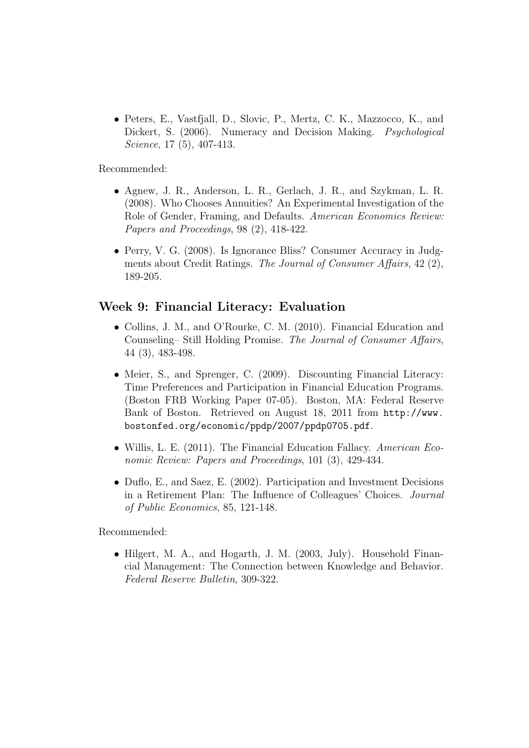• Peters, E., Vastfjall, D., Slovic, P., Mertz, C. K., Mazzocco, K., and Dickert, S. (2006). Numeracy and Decision Making. *Psychological* Science, 17 (5), 407-413.

Recommended:

- Agnew, J. R., Anderson, L. R., Gerlach, J. R., and Szykman, L. R. (2008). Who Chooses Annuities? An Experimental Investigation of the Role of Gender, Framing, and Defaults. American Economics Review: Papers and Proceedings, 98 (2), 418-422.
- Perry, V. G. (2008). Is Ignorance Bliss? Consumer Accuracy in Judgments about Credit Ratings. The Journal of Consumer Affairs, 42 (2), 189-205.

# Week 9: Financial Literacy: Evaluation

- Collins, J. M., and O'Rourke, C. M. (2010). Financial Education and Counseling– Still Holding Promise. The Journal of Consumer Affairs, 44 (3), 483-498.
- Meier, S., and Sprenger, C. (2009). Discounting Financial Literacy: Time Preferences and Participation in Financial Education Programs. (Boston FRB Working Paper 07-05). Boston, MA: Federal Reserve Bank of Boston. Retrieved on August 18, 2011 from http://www. bostonfed.org/economic/ppdp/2007/ppdp0705.pdf.
- Willis, L. E. (2011). The Financial Education Fallacy. American Economic Review: Papers and Proceedings, 101 (3), 429-434.
- Duflo, E., and Saez, E. (2002). Participation and Investment Decisions in a Retirement Plan: The Influence of Colleagues' Choices. Journal of Public Economics, 85, 121-148.

Recommended:

• Hilgert, M. A., and Hogarth, J. M. (2003, July). Household Financial Management: The Connection between Knowledge and Behavior. Federal Reserve Bulletin, 309-322.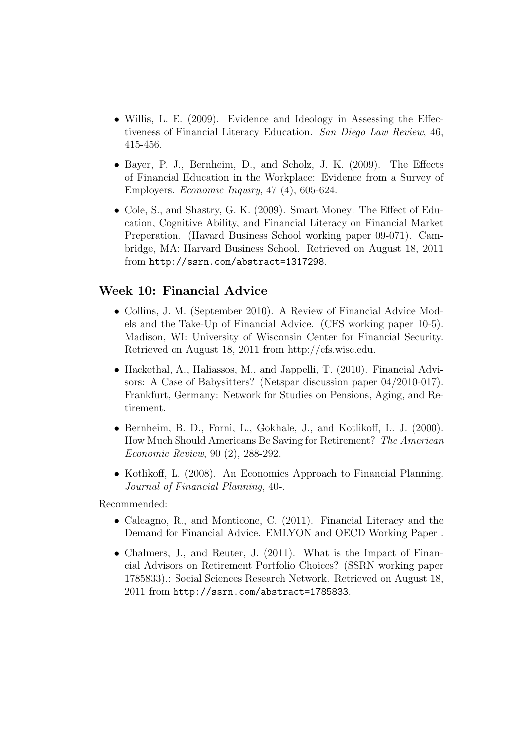- Willis, L. E. (2009). Evidence and Ideology in Assessing the Effectiveness of Financial Literacy Education. San Diego Law Review, 46, 415-456.
- Bayer, P. J., Bernheim, D., and Scholz, J. K. (2009). The Effects of Financial Education in the Workplace: Evidence from a Survey of Employers. Economic Inquiry, 47 (4), 605-624.
- Cole, S., and Shastry, G. K. (2009). Smart Money: The Effect of Education, Cognitive Ability, and Financial Literacy on Financial Market Preperation. (Havard Business School working paper 09-071). Cambridge, MA: Harvard Business School. Retrieved on August 18, 2011 from http://ssrn.com/abstract=1317298.

### Week 10: Financial Advice

- Collins, J. M. (September 2010). A Review of Financial Advice Models and the Take-Up of Financial Advice. (CFS working paper 10-5). Madison, WI: University of Wisconsin Center for Financial Security. Retrieved on August 18, 2011 from http://cfs.wisc.edu.
- Hackethal, A., Haliassos, M., and Jappelli, T. (2010). Financial Advisors: A Case of Babysitters? (Netspar discussion paper 04/2010-017). Frankfurt, Germany: Network for Studies on Pensions, Aging, and Retirement.
- Bernheim, B. D., Forni, L., Gokhale, J., and Kotlikoff, L. J. (2000). How Much Should Americans Be Saving for Retirement? The American Economic Review, 90 (2), 288-292.
- Kotlikoff, L. (2008). An Economics Approach to Financial Planning. Journal of Financial Planning, 40-.

Recommended:

- Calcagno, R., and Monticone, C. (2011). Financial Literacy and the Demand for Financial Advice. EMLYON and OECD Working Paper .
- Chalmers, J., and Reuter, J. (2011). What is the Impact of Financial Advisors on Retirement Portfolio Choices? (SSRN working paper 1785833).: Social Sciences Research Network. Retrieved on August 18, 2011 from http://ssrn.com/abstract=1785833.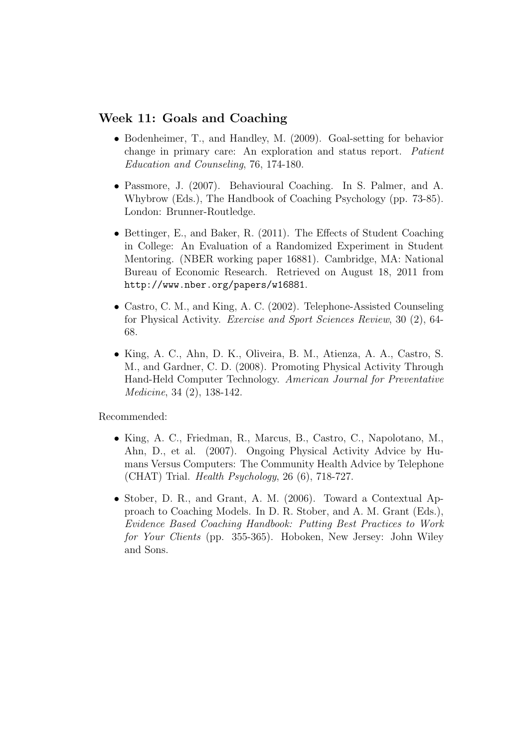### Week 11: Goals and Coaching

- Bodenheimer, T., and Handley, M. (2009). Goal-setting for behavior change in primary care: An exploration and status report. Patient Education and Counseling, 76, 174-180.
- Passmore, J. (2007). Behavioural Coaching. In S. Palmer, and A. Whybrow (Eds.), The Handbook of Coaching Psychology (pp. 73-85). London: Brunner-Routledge.
- Bettinger, E., and Baker, R. (2011). The Effects of Student Coaching in College: An Evaluation of a Randomized Experiment in Student Mentoring. (NBER working paper 16881). Cambridge, MA: National Bureau of Economic Research. Retrieved on August 18, 2011 from http://www.nber.org/papers/w16881.
- Castro, C. M., and King, A. C. (2002). Telephone-Assisted Counseling for Physical Activity. Exercise and Sport Sciences Review, 30 (2), 64- 68.
- King, A. C., Ahn, D. K., Oliveira, B. M., Atienza, A. A., Castro, S. M., and Gardner, C. D. (2008). Promoting Physical Activity Through Hand-Held Computer Technology. American Journal for Preventative Medicine, 34 (2), 138-142.

Recommended:

- King, A. C., Friedman, R., Marcus, B., Castro, C., Napolotano, M., Ahn, D., et al. (2007). Ongoing Physical Activity Advice by Humans Versus Computers: The Community Health Advice by Telephone (CHAT) Trial. Health Psychology, 26 (6), 718-727.
- Stober, D. R., and Grant, A. M. (2006). Toward a Contextual Approach to Coaching Models. In D. R. Stober, and A. M. Grant (Eds.), Evidence Based Coaching Handbook: Putting Best Practices to Work for Your Clients (pp. 355-365). Hoboken, New Jersey: John Wiley and Sons.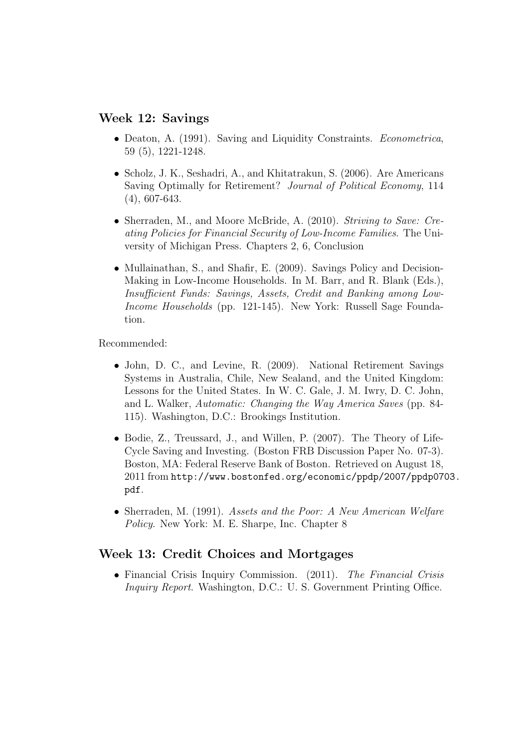### Week 12: Savings

- Deaton, A. (1991). Saving and Liquidity Constraints. *Econometrica*, 59 (5), 1221-1248.
- Scholz, J. K., Seshadri, A., and Khitatrakun, S. (2006). Are Americans Saving Optimally for Retirement? Journal of Political Economy, 114 (4), 607-643.
- Sherraden, M., and Moore McBride, A. (2010). Striving to Save: Creating Policies for Financial Security of Low-Income Families. The University of Michigan Press. Chapters 2, 6, Conclusion
- Mullainathan, S., and Shafir, E. (2009). Savings Policy and Decision-Making in Low-Income Households. In M. Barr, and R. Blank (Eds.), Insufficient Funds: Savings, Assets, Credit and Banking among Low-Income Households (pp. 121-145). New York: Russell Sage Foundation.

Recommended:

- John, D. C., and Levine, R. (2009). National Retirement Savings Systems in Australia, Chile, New Sealand, and the United Kingdom: Lessons for the United States. In W. C. Gale, J. M. Iwry, D. C. John, and L. Walker, Automatic: Changing the Way America Saves (pp. 84- 115). Washington, D.C.: Brookings Institution.
- Bodie, Z., Treussard, J., and Willen, P. (2007). The Theory of Life-Cycle Saving and Investing. (Boston FRB Discussion Paper No. 07-3). Boston, MA: Federal Reserve Bank of Boston. Retrieved on August 18, 2011 from http://www.bostonfed.org/economic/ppdp/2007/ppdp0703. pdf.
- Sherraden, M. (1991). Assets and the Poor: A New American Welfare Policy. New York: M. E. Sharpe, Inc. Chapter 8

# Week 13: Credit Choices and Mortgages

• Financial Crisis Inquiry Commission. (2011). The Financial Crisis Inquiry Report. Washington, D.C.: U. S. Government Printing Office.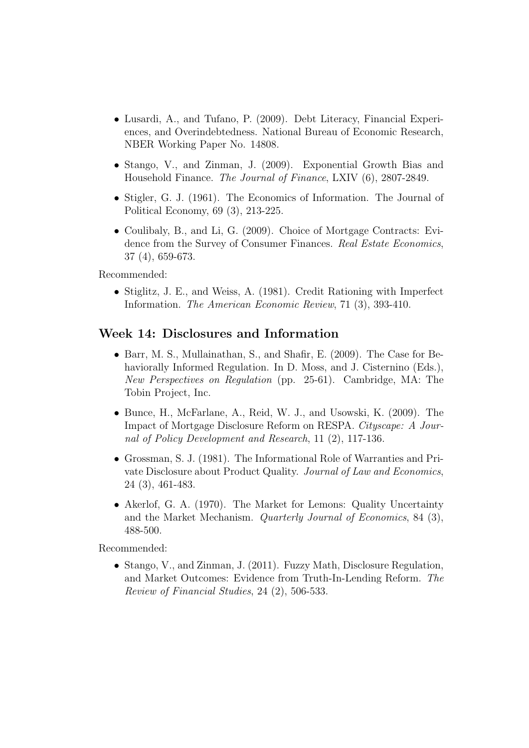- Lusardi, A., and Tufano, P. (2009). Debt Literacy, Financial Experiences, and Overindebtedness. National Bureau of Economic Research, NBER Working Paper No. 14808.
- Stango, V., and Zinman, J. (2009). Exponential Growth Bias and Household Finance. The Journal of Finance, LXIV (6), 2807-2849.
- Stigler, G. J. (1961). The Economics of Information. The Journal of Political Economy, 69 (3), 213-225.
- Coulibaly, B., and Li, G. (2009). Choice of Mortgage Contracts: Evidence from the Survey of Consumer Finances. Real Estate Economics, 37 (4), 659-673.

• Stiglitz, J. E., and Weiss, A. (1981). Credit Rationing with Imperfect Information. The American Economic Review, 71 (3), 393-410.

### Week 14: Disclosures and Information

- Barr, M. S., Mullainathan, S., and Shafir, E. (2009). The Case for Behaviorally Informed Regulation. In D. Moss, and J. Cisternino (Eds.), New Perspectives on Regulation (pp. 25-61). Cambridge, MA: The Tobin Project, Inc.
- Bunce, H., McFarlane, A., Reid, W. J., and Usowski, K. (2009). The Impact of Mortgage Disclosure Reform on RESPA. Cityscape: A Journal of Policy Development and Research, 11 (2), 117-136.
- Grossman, S. J. (1981). The Informational Role of Warranties and Private Disclosure about Product Quality. Journal of Law and Economics, 24 (3), 461-483.
- Akerlof, G. A. (1970). The Market for Lemons: Quality Uncertainty and the Market Mechanism. Quarterly Journal of Economics, 84 (3), 488-500.

Recommended:

• Stango, V., and Zinman, J. (2011). Fuzzy Math, Disclosure Regulation, and Market Outcomes: Evidence from Truth-In-Lending Reform. The Review of Financial Studies, 24 (2), 506-533.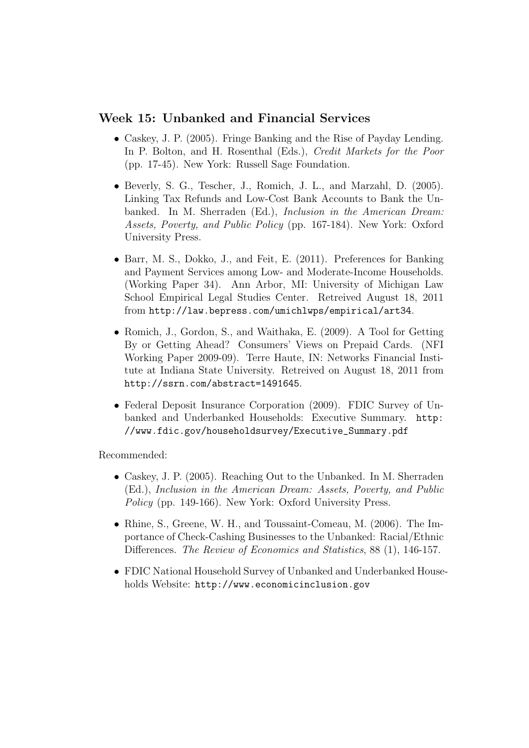### Week 15: Unbanked and Financial Services

- Caskey, J. P. (2005). Fringe Banking and the Rise of Payday Lending. In P. Bolton, and H. Rosenthal (Eds.), *Credit Markets for the Poor* (pp. 17-45). New York: Russell Sage Foundation.
- Beverly, S. G., Tescher, J., Romich, J. L., and Marzahl, D. (2005). Linking Tax Refunds and Low-Cost Bank Accounts to Bank the Unbanked. In M. Sherraden (Ed.), Inclusion in the American Dream: Assets, Poverty, and Public Policy (pp. 167-184). New York: Oxford University Press.
- Barr, M. S., Dokko, J., and Feit, E. (2011). Preferences for Banking and Payment Services among Low- and Moderate-Income Households. (Working Paper 34). Ann Arbor, MI: University of Michigan Law School Empirical Legal Studies Center. Retreived August 18, 2011 from http://law.bepress.com/umichlwps/empirical/art34.
- Romich, J., Gordon, S., and Waithaka, E. (2009). A Tool for Getting By or Getting Ahead? Consumers' Views on Prepaid Cards. (NFI Working Paper 2009-09). Terre Haute, IN: Networks Financial Institute at Indiana State University. Retreived on August 18, 2011 from http://ssrn.com/abstract=1491645.
- Federal Deposit Insurance Corporation (2009). FDIC Survey of Unbanked and Underbanked Households: Executive Summary. http: //www.fdic.gov/householdsurvey/Executive\_Summary.pdf

Recommended:

- Caskey, J. P. (2005). Reaching Out to the Unbanked. In M. Sherraden (Ed.), Inclusion in the American Dream: Assets, Poverty, and Public Policy (pp. 149-166). New York: Oxford University Press.
- Rhine, S., Greene, W. H., and Toussaint-Comeau, M. (2006). The Importance of Check-Cashing Businesses to the Unbanked: Racial/Ethnic Differences. The Review of Economics and Statistics, 88 (1), 146-157.
- FDIC National Household Survey of Unbanked and Underbanked Households Website: http://www.economicinclusion.gov